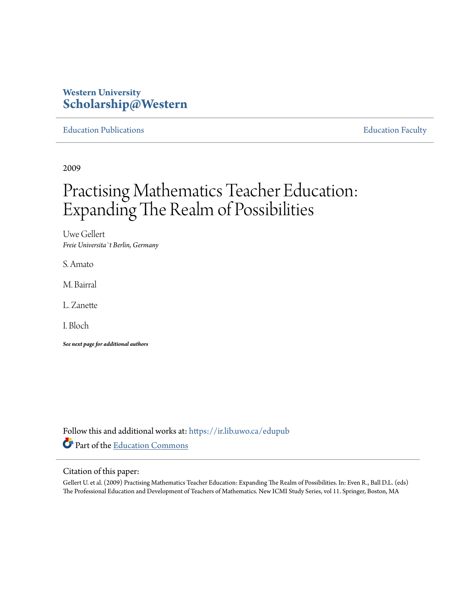## **Western University [Scholarship@Western](https://ir.lib.uwo.ca?utm_source=ir.lib.uwo.ca%2Fedupub%2F82&utm_medium=PDF&utm_campaign=PDFCoverPages)**

[Education Publications](https://ir.lib.uwo.ca/edupub?utm_source=ir.lib.uwo.ca%2Fedupub%2F82&utm_medium=PDF&utm_campaign=PDFCoverPages) **[Education Faculty](https://ir.lib.uwo.ca/edu?utm_source=ir.lib.uwo.ca%2Fedupub%2F82&utm_medium=PDF&utm_campaign=PDFCoverPages)** 

2009

# Practising Mathematics Teacher Education: Expanding The Realm of Possibilities

Uwe Gellert *Freie Universita¨t Berlin, Germany*

S. Amato

M. Bairral

L. Zanette

I. Bloch

*See next page for additional authors*

Follow this and additional works at: [https://ir.lib.uwo.ca/edupub](https://ir.lib.uwo.ca/edupub?utm_source=ir.lib.uwo.ca%2Fedupub%2F82&utm_medium=PDF&utm_campaign=PDFCoverPages) Part of the [Education Commons](http://network.bepress.com/hgg/discipline/784?utm_source=ir.lib.uwo.ca%2Fedupub%2F82&utm_medium=PDF&utm_campaign=PDFCoverPages)

## Citation of this paper:

Gellert U. et al. (2009) Practising Mathematics Teacher Education: Expanding The Realm of Possibilities. In: Even R., Ball D.L. (eds) The Professional Education and Development of Teachers of Mathematics. New ICMI Study Series, vol 11. Springer, Boston, MA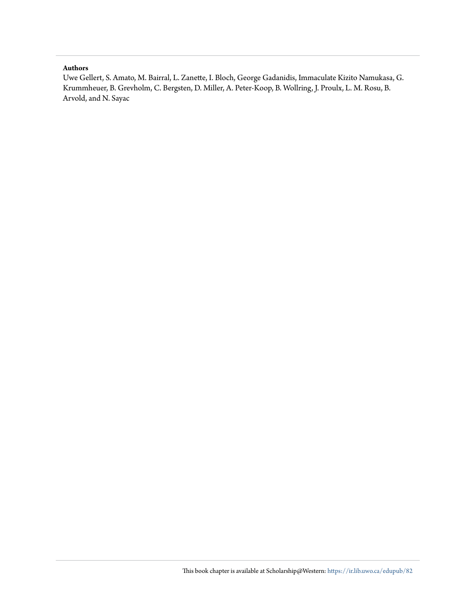#### **Authors**

Uwe Gellert, S. Amato, M. Bairral, L. Zanette, I. Bloch, George Gadanidis, Immaculate Kizito Namukasa, G. Krummheuer, B. Grevholm, C. Bergsten, D. Miller, A. Peter-Koop, B. Wollring, J. Proulx, L. M. Rosu, B. Arvold, and N. Sayac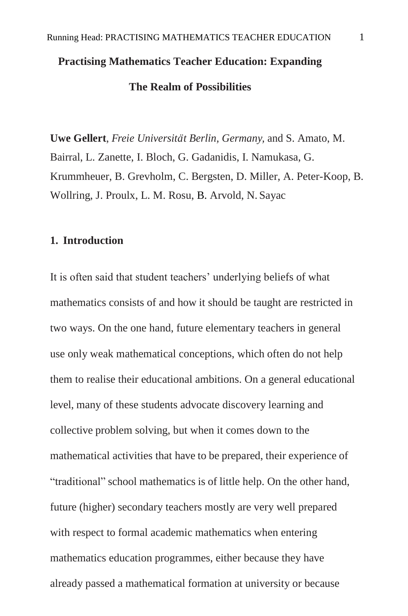## **Practising Mathematics Teacher Education: Expanding The Realm of Possibilities**

**Uwe Gellert**, *Freie Universita¨t Berlin, Germany,* and S. Amato, M. Bairral, L. Zanette, I. Bloch, G. Gadanidis, I. Namukasa, G. Krummheuer, B. Grevholm, C. Bergsten, D. Miller, A. Peter-Koop, B. Wollring, J. Proulx, L. M. Rosu, B. Arvold, N. Sayac

## **1. Introduction**

It is often said that student teachers' underlying beliefs of what mathematics consists of and how it should be taught are restricted in two ways. On the one hand, future elementary teachers in general use only weak mathematical conceptions, which often do not help them to realise their educational ambitions. On a general educational level, many of these students advocate discovery learning and collective problem solving, but when it comes down to the mathematical activities that have to be prepared, their experience of "traditional" school mathematics is of little help. On the other hand, future (higher) secondary teachers mostly are very well prepared with respect to formal academic mathematics when entering mathematics education programmes, either because they have already passed a mathematical formation at university or because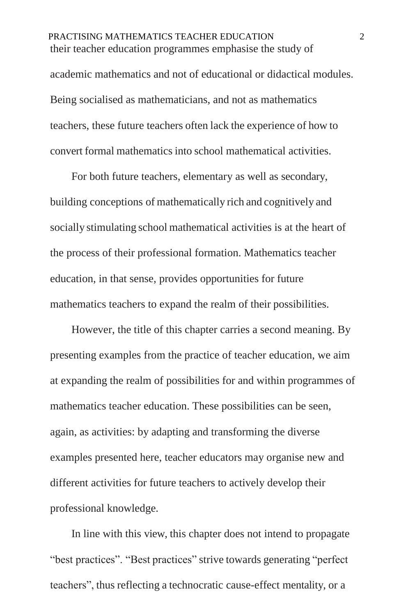PRACTISING MATHEMATICS TEACHER EDUCATION 2 their teacher education programmes emphasise the study of academic mathematics and not of educational or didactical modules. Being socialised as mathematicians, and not as mathematics teachers, these future teachers often lack the experience of how to convert formal mathematics into school mathematical activities.

For both future teachers, elementary as well as secondary, building conceptions of mathematically rich and cognitively and socially stimulating school mathematical activities is at the heart of the process of their professional formation. Mathematics teacher education, in that sense, provides opportunities for future mathematics teachers to expand the realm of their possibilities.

However, the title of this chapter carries a second meaning. By presenting examples from the practice of teacher education, we aim at expanding the realm of possibilities for and within programmes of mathematics teacher education. These possibilities can be seen, again, as activities: by adapting and transforming the diverse examples presented here, teacher educators may organise new and different activities for future teachers to actively develop their professional knowledge.

In line with this view, this chapter does not intend to propagate "best practices". "Best practices" strive towards generating "perfect teachers", thus reflecting a technocratic cause-effect mentality, or a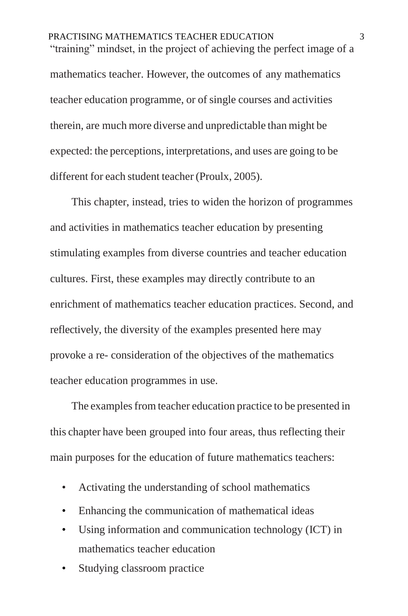"training" mindset, in the project of achieving the perfect image of a mathematics teacher. However, the outcomes of any mathematics teacher education programme, or of single courses and activities therein, are much more diverse and unpredictable than might be expected: the perceptions, interpretations, and uses are going to be different for each student teacher (Proulx, 2005).

This chapter, instead, tries to widen the horizon of programmes and activities in mathematics teacher education by presenting stimulating examples from diverse countries and teacher education cultures. First, these examples may directly contribute to an enrichment of mathematics teacher education practices. Second, and reflectively, the diversity of the examples presented here may provoke a re- consideration of the objectives of the mathematics teacher education programmes in use.

The examples from teacher education practice to be presented in this chapter have been grouped into four areas, thus reflecting their main purposes for the education of future mathematics teachers:

- Activating the understanding of school mathematics
- Enhancing the communication of mathematical ideas
- Using information and communication technology (ICT) in mathematics teacher education
- Studying classroom practice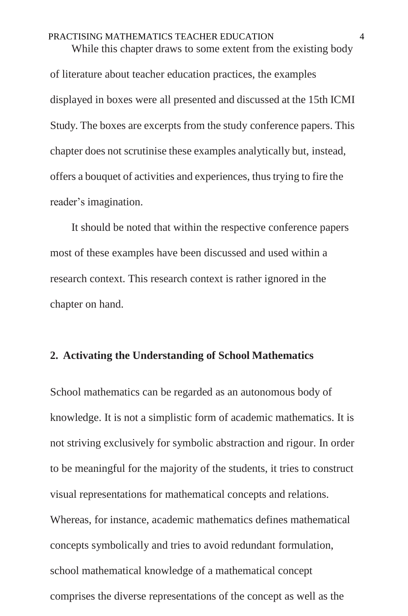While this chapter draws to some extent from the existing body of literature about teacher education practices, the examples displayed in boxes were all presented and discussed at the 15th ICMI Study. The boxes are excerpts from the study conference papers. This chapter does not scrutinise these examples analytically but, instead, offers a bouquet of activities and experiences, thustrying to fire the reader's imagination.

It should be noted that within the respective conference papers most of these examples have been discussed and used within a research context. This research context is rather ignored in the chapter on hand.

#### **2. Activating the Understanding of School Mathematics**

School mathematics can be regarded as an autonomous body of knowledge. It is not a simplistic form of academic mathematics. It is not striving exclusively for symbolic abstraction and rigour. In order to be meaningful for the majority of the students, it tries to construct visual representations for mathematical concepts and relations. Whereas, for instance, academic mathematics defines mathematical concepts symbolically and tries to avoid redundant formulation, school mathematical knowledge of a mathematical concept comprises the diverse representations of the concept as well as the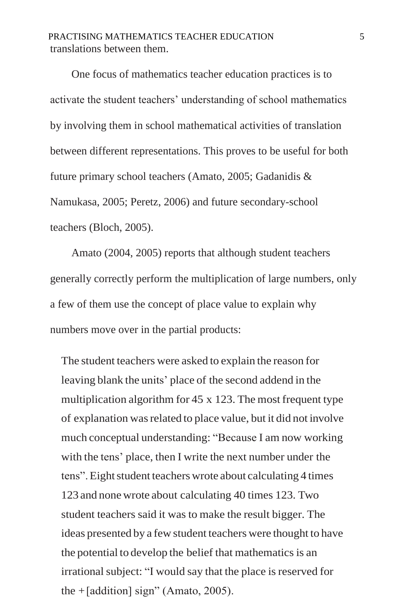PRACTISING MATHEMATICS TEACHER EDUCATION 5 translations between them.

One focus of mathematics teacher education practices is to activate the student teachers' understanding of school mathematics by involving them in school mathematical activities of translation between different representations. This proves to be useful for both future primary school teachers (Amato, 2005; Gadanidis & Namukasa, 2005; Peretz, 2006) and future secondary-school teachers (Bloch, 2005).

Amato (2004, 2005) reports that although student teachers generally correctly perform the multiplication of large numbers, only a few of them use the concept of place value to explain why numbers move over in the partial products:

The student teachers were asked to explain the reason for leaving blank the units' place of the second addend in the multiplication algorithm for 45 x 123. The most frequent type of explanation wasrelated to place value, but it did not involve much conceptual understanding: "Because I am now working with the tens' place, then I write the next number under the tens". Eight student teachers wrote about calculating 4 times 123 and none wrote about calculating 40 times 123. Two student teachers said it was to make the result bigger. The ideas presented by a few student teachers were thought to have the potential to develop the belief that mathematics is an irrational subject: "I would say that the place is reserved for the  $+$ [addition] sign" (Amato, 2005).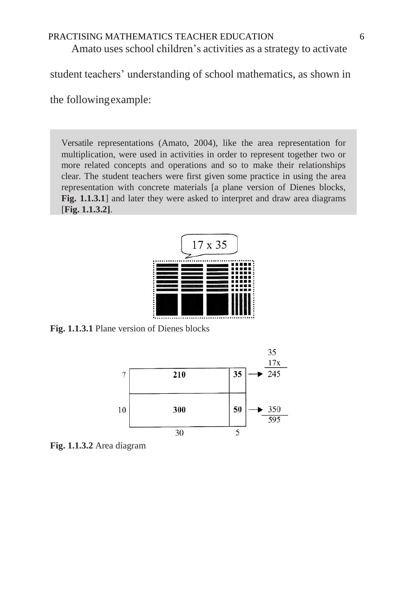## PRACTISING MATHEMATICS TEACHER EDUCATION 6 Amato uses school children's activities as a strategy to activate

student teachers' understanding of school mathematics, as shown in

the followingexample:

Versatile representations (Amato, 2004), like the area representation for multiplication, were used in activities in order to represent together two or more related concepts and operations and so to make their relationships clear. The student teachers were first given some practice in using the area representation with concrete materials [a plane version of Dienes blocks, **Fig. 1.1.3.1**] and later they were asked to interpret and draw area diagrams [**Fig. 1.1.3.2]**.



**Fig. 1.1.3.1** Plane version of Dienes blocks



**Fig. 1.1.3.2** Area diagram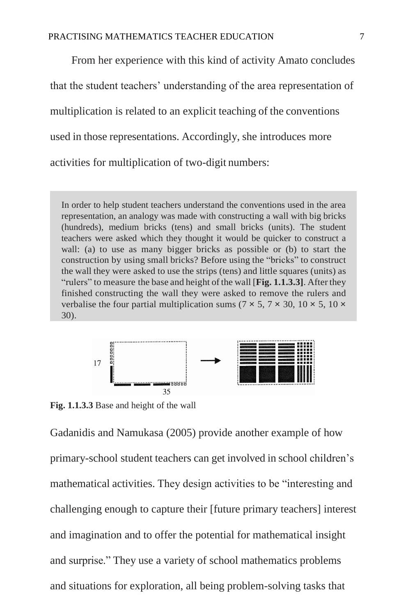From her experience with this kind of activity Amato concludes that the student teachers' understanding of the area representation of multiplication is related to an explicit teaching of the conventions used in those representations. Accordingly, she introduces more activities for multiplication of two-digit numbers:

In order to help student teachers understand the conventions used in the area representation, an analogy was made with constructing a wall with big bricks (hundreds), medium bricks (tens) and small bricks (units). The student teachers were asked which they thought it would be quicker to construct a wall: (a) to use as many bigger bricks as possible or (b) to start the construction by using small bricks? Before using the "bricks" to construct the wall they were asked to use the strips (tens) and little squares (units) as "rulers" to measure the base and height of the wall [Fig. 1.1.3.3]. After they finished constructing the wall they were asked to remove the rulers and verbalise the four partial multiplication sums ( $7 \times 5$ ,  $7 \times 30$ ,  $10 \times 5$ ,  $10 \times$ 30).



**Fig. 1.1.3.3** Base and height of the wall

Gadanidis and Namukasa (2005) provide another example of how primary-school student teachers can get involved in school children's mathematical activities. They design activities to be "interesting and challenging enough to capture their [future primary teachers] interest and imagination and to offer the potential for mathematical insight and surprise." They use a variety of school mathematics problems and situations for exploration, all being problem-solving tasks that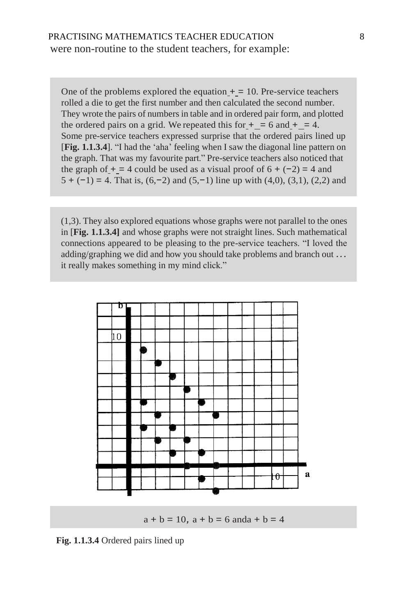the graph of  $+ = 4$  could be used as a visual proof of  $6 + (-2) = 4$  and  $5 + (-1) = 4$ . That is,  $(6, -2)$  and  $(5, -1)$  line up with  $(4, 0)$ ,  $(3, 1)$ ,  $(2, 2)$  and Some pre-service teachers expressed surprise that the ordered pairs lined up [**Fig. 1.1.3.4**]. "I had the 'aha' feeling when I saw the diagonal line pattern on the graph. That was my favourite part." Pre-service teachers also noticed that the ordered pairs on a grid. We repeated this for  $+ = 6$  and  $+ = 4$ . One of the problems explored the equation  $+ = 10$ . Pre-service teachers rolled a die to get the first number and then calculated the second number. They wrote the pairs of numbers in table and in ordered pair form, and plotted

(1,3). They also explored equations whose graphs were not parallel to the ones in [**Fig. 1.1.3.4]** and whose graphs were not straight lines. Such mathematical connections appeared to be pleasing to the pre-service teachers. "I loved the adding/graphing we did and how you should take problems and branch out *...*  it really makes something in my mind click."



**Fig. 1.1.3.4** Ordered pairs lined up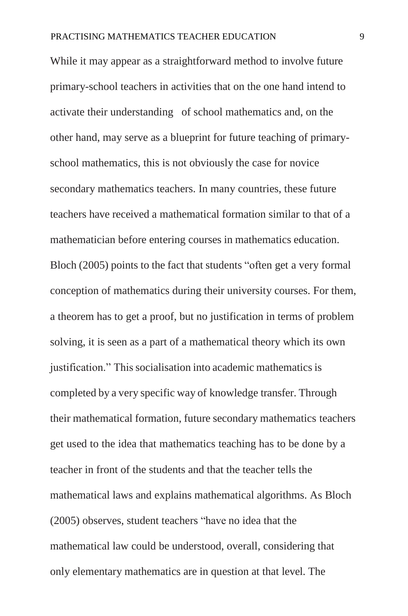While it may appear as a straightforward method to involve future primary-school teachers in activities that on the one hand intend to activate their understanding of school mathematics and, on the other hand, may serve as a blueprint for future teaching of primaryschool mathematics, this is not obviously the case for novice secondary mathematics teachers. In many countries, these future teachers have received a mathematical formation similar to that of a mathematician before entering courses in mathematics education. Bloch (2005) points to the fact that students "often get a very formal conception of mathematics during their university courses. For them, a theorem has to get a proof, but no justification in terms of problem solving, it is seen as a part of a mathematical theory which its own justification." This socialisation into academic mathematics is completed by a very specific way of knowledge transfer. Through their mathematical formation, future secondary mathematics teachers get used to the idea that mathematics teaching has to be done by a teacher in front of the students and that the teacher tells the mathematical laws and explains mathematical algorithms. As Bloch (2005) observes, student teachers "have no idea that the mathematical law could be understood, overall, considering that only elementary mathematics are in question at that level. The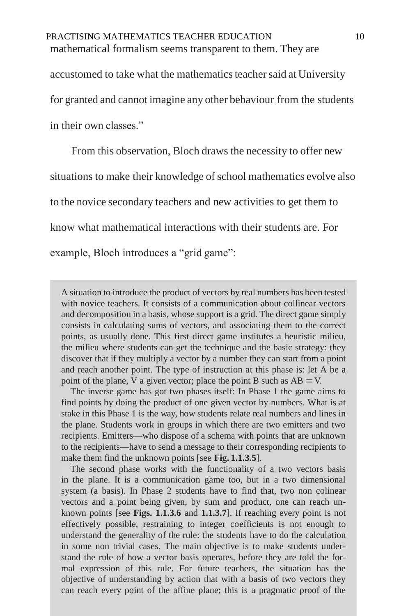PRACTISING MATHEMATICS TEACHER EDUCATION  $10$ mathematical formalism seems transparent to them. They are accustomed to take what the mathematics teacher said at University for granted and cannot imagine any other behaviour from the students in their own classes."

From this observation, Bloch draws the necessity to offer new situations to make their knowledge of school mathematics evolve also to the novice secondary teachers and new activities to get them to know what mathematical interactions with their students are. For example, Bloch introduces a "grid game":

point of the plane, V a given vector; place the point B such as  $AB = V$ . A situation to introduce the product of vectors by real numbers has been tested with novice teachers. It consists of a communication about collinear vectors and decomposition in a basis, whose support is a grid. The direct game simply consists in calculating sums of vectors, and associating them to the correct points, as usually done. This first direct game institutes a heuristic milieu, the milieu where students can get the technique and the basic strategy: they discover that if they multiply a vector by a number they can start from a point and reach another point. The type of instruction at this phase is: let A be a

The inverse game has got two phases itself: In Phase 1 the game aims to find points by doing the product of one given vector by numbers. What is at stake in this Phase 1 is the way, how students relate real numbers and lines in the plane. Students work in groups in which there are two emitters and two recipients. Emitters—who dispose of a schema with points that are unknown to the recipients—have to send a message to their corresponding recipients to make them find the unknown points [see **Fig. 1.1.3.5**].

The second phase works with the functionality of a two vectors basis in the plane. It is a communication game too, but in a two dimensional system (a basis). In Phase 2 students have to find that, two non colinear vectors and a point being given, by sum and product, one can reach unknown points [see **Figs. 1.1.3.6** and **1.1.3.7**]. If reaching every point is not effectively possible, restraining to integer coefficients is not enough to understand the generality of the rule: the students have to do the calculation in some non trivial cases. The main objective is to make students understand the rule of how a vector basis operates, before they are told the formal expression of this rule. For future teachers, the situation has the objective of understanding by action that with a basis of two vectors they can reach every point of the affine plane; this is a pragmatic proof of the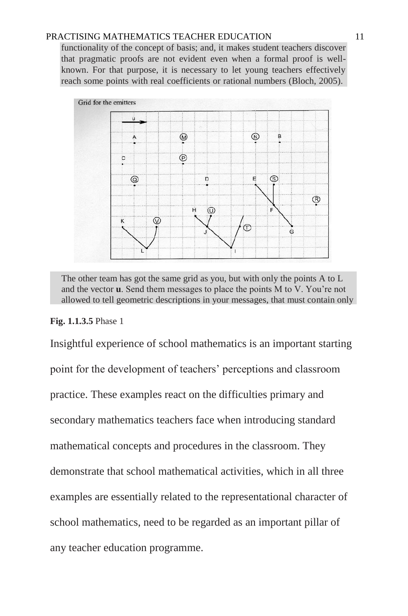functionality of the concept of basis; and, it makes student teachers discover that pragmatic proofs are not evident even when a formal proof is wellknown. For that purpose, it is necessary to let young teachers effectively reach some points with real coefficients or rational numbers (Bloch, 2005).



The other team has got the same grid as you, but with only the points A to L and the vector **u**. Send them messages to place the points M to V. You're not allowed to tell geometric descriptions in your messages, that must contain only

#### **Fig. 1.1.3.5** Phase 1

Insightful experience of school mathematics is an important starting point for the development of teachers' perceptions and classroom practice. These examples react on the difficulties primary and secondary mathematics teachers face when introducing standard mathematical concepts and procedures in the classroom. They demonstrate that school mathematical activities, which in all three examples are essentially related to the representational character of school mathematics, need to be regarded as an important pillar of any teacher education programme.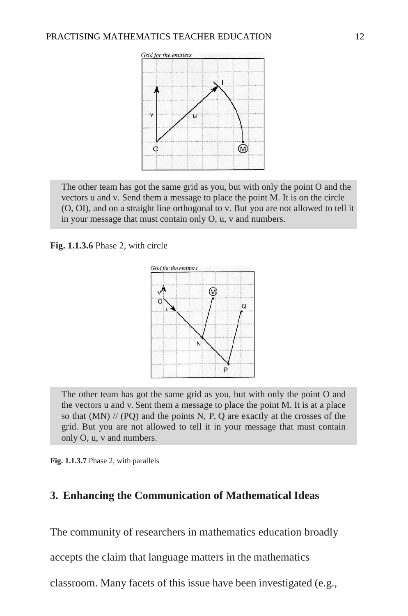

The other team has got the same grid as you, but with only the point O and the vectors u and v. Send them a message to place the point M. It is on the circle (O, OI), and on a straight line orthogonal to v. But you are not allowed to tell it in your message that must contain only O, u, v and numbers.

**Fig. 1.1.3.6** Phase 2, with circle



The other team has got the same grid as you, but with only the point O and the vectors u and v. Sent them a message to place the point M. It is at a place so that (MN) // (PQ) and the points N, P, Q are exactly at the crosses of the grid. But you are not allowed to tell it in your message that must contain only O, u, v and numbers.



#### **3. Enhancing the Communication of Mathematical Ideas**

The community of researchers in mathematics education broadly

accepts the claim that language matters in the mathematics

classroom. Many facets of this issue have been investigated (e.g.,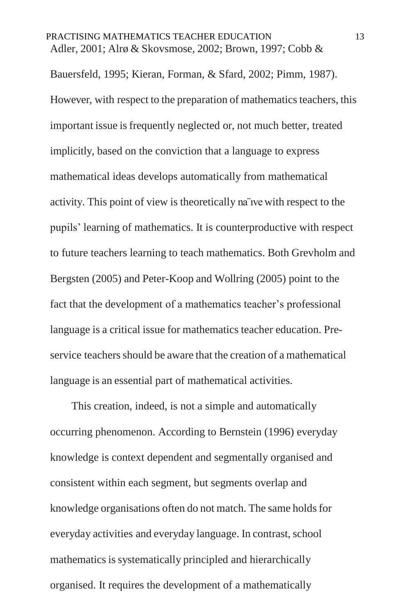## PRACTISING MATHEMATICS TEACHER EDUCATION 13 Adler, 2001; Alrø & Skovsmose, 2002; Brown, 1997; Cobb &

Bauersfeld, 1995; Kieran, Forman, & Sfard, 2002; Pimm, 1987). However, with respect to the preparation of mathematics teachers, this important issue isfrequently neglected or, not much better, treated implicitly, based on the conviction that a language to express mathematical ideas develops automatically from mathematical activity. This point of view is theoretically na¨ıve with respect to the pupils' learning of mathematics. It is counterproductive with respect to future teachers learning to teach mathematics. Both Grevholm and Bergsten (2005) and Peter-Koop and Wollring (2005) point to the fact that the development of a mathematics teacher's professional language is a critical issue for mathematics teacher education. Preservice teachers should be aware that the creation of a mathematical language is an essential part of mathematical activities.

This creation, indeed, is not a simple and automatically occurring phenomenon. According to Bernstein (1996) everyday knowledge is context dependent and segmentally organised and consistent within each segment, but segments overlap and knowledge organisations often do not match. The same holds for everyday activities and everyday language. In contrast, school mathematics is systematically principled and hierarchically organised. It requires the development of a mathematically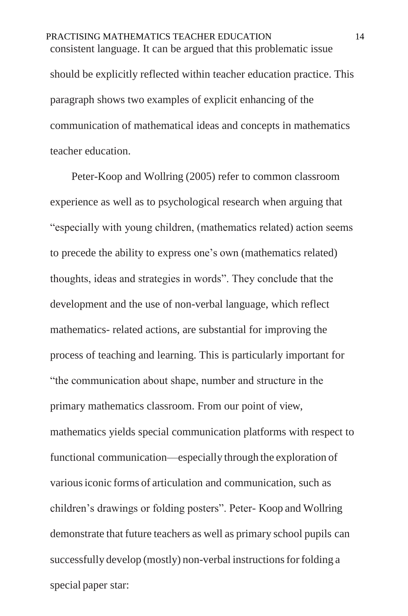PRACTISING MATHEMATICS TEACHER EDUCATION 14 consistent language. It can be argued that this problematic issue should be explicitly reflected within teacher education practice. This paragraph shows two examples of explicit enhancing of the communication of mathematical ideas and concepts in mathematics teacher education.

Peter-Koop and Wollring (2005) refer to common classroom experience as well as to psychological research when arguing that "especially with young children, (mathematics related) action seems to precede the ability to express one's own (mathematics related) thoughts, ideas and strategies in words". They conclude that the development and the use of non-verbal language, which reflect mathematics- related actions, are substantial for improving the process of teaching and learning. This is particularly important for "the communication about shape, number and structure in the primary mathematics classroom. From our point of view, mathematics yields special communication platforms with respect to functional communication—especially through the exploration of various iconic forms of articulation and communication, such as children's drawings or folding posters". Peter- Koop and Wollring demonstrate that future teachers as well as primary school pupils can successfully develop (mostly) non-verbal instructions for folding a special paper star: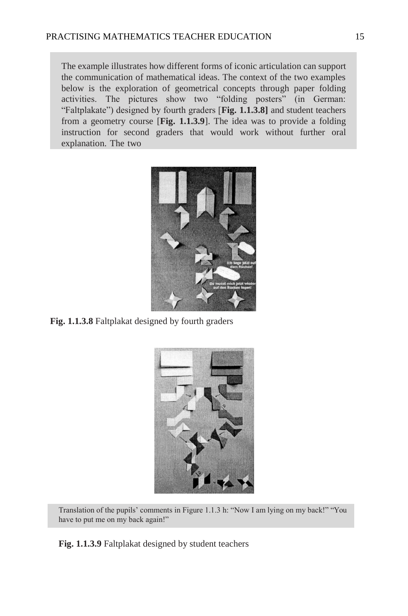The example illustrates how different forms of iconic articulation can support the communication of mathematical ideas. The context of the two examples below is the exploration of geometrical concepts through paper folding activities. The pictures show two "folding posters" (in German: "Faltplakate") designed by fourth graders [**Fig. 1.1.3.8]** and student teachers from a geometry course [**Fig. 1.1.3.9**]. The idea was to provide a folding instruction for second graders that would work without further oral explanation. The two



**Fig. 1.1.3.8** Faltplakat designed by fourth graders



Translation of the pupils' comments in Figure 1.1.3 h: "Now I am lying on my back!" "You have to put me on my back again!"

**Fig. 1.1.3.9** Faltplakat designed by student teachers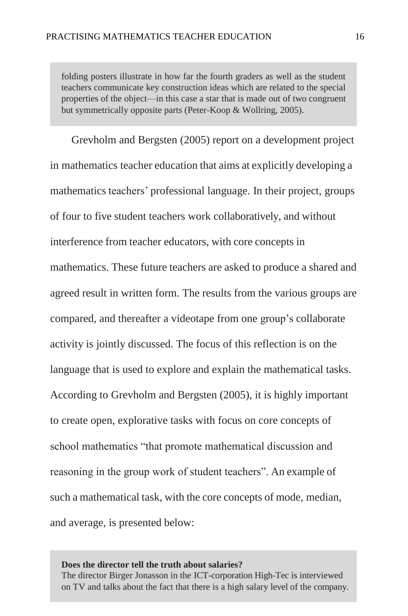folding posters illustrate in how far the fourth graders as well as the student teachers communicate key construction ideas which are related to the special properties of the object—in this case a star that is made out of two congruent but symmetrically opposite parts (Peter-Koop & Wollring, 2005).

Grevholm and Bergsten (2005) report on a development project in mathematics teacher education that aims at explicitly developing a mathematics teachers' professional language. In their project, groups of four to five student teachers work collaboratively, and without interference from teacher educators, with core concepts in mathematics. These future teachers are asked to produce a shared and agreed result in written form. The results from the various groups are compared, and thereafter a videotape from one group's collaborate activity is jointly discussed. The focus of this reflection is on the language that is used to explore and explain the mathematical tasks. According to Grevholm and Bergsten (2005), it is highly important to create open, explorative tasks with focus on core concepts of school mathematics "that promote mathematical discussion and reasoning in the group work of student teachers". An example of such a mathematical task, with the core concepts of mode, median, and average, is presented below:

**Does the director tell the truth about salaries?**

The director Birger Jonasson in the ICT-corporation High-Tec is interviewed on TV and talks about the fact that there is a high salary level of the company.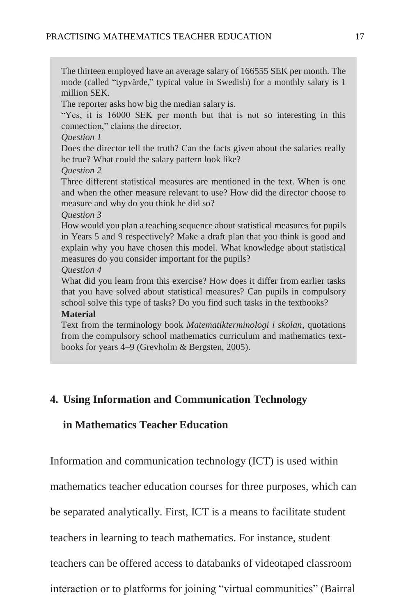The thirteen employed have an average salary of 166555 SEK per month. The mode (called "typvärde," typical value in Swedish) for a monthly salary is 1 million SEK.

The reporter asks how big the median salary is.

"Yes, it is 16000 SEK per month but that is not so interesting in this connection," claims the director.

*Question 1*

Does the director tell the truth? Can the facts given about the salaries really be true? What could the salary pattern look like?

*Question 2*

Three different statistical measures are mentioned in the text. When is one and when the other measure relevant to use? How did the director choose to measure and why do you think he did so?

*Question 3*

How would you plan a teaching sequence about statistical measures for pupils in Years 5 and 9 respectively? Make a draft plan that you think is good and explain why you have chosen this model. What knowledge about statistical measures do you consider important for the pupils?

*Question 4*

What did you learn from this exercise? How does it differ from earlier tasks that you have solved about statistical measures? Can pupils in compulsory school solve this type of tasks? Do you find such tasks in the textbooks?

#### **Material**

Text from the terminology book *Matematikterminologi i skolan*, quotations from the compulsory school mathematics curriculum and mathematics textbooks for years 4–9 (Grevholm & Bergsten, 2005).

#### **4. Using Information and Communication Technology**

#### **in Mathematics Teacher Education**

Information and communication technology (ICT) is used within

mathematics teacher education courses for three purposes, which can

be separated analytically. First, ICT is a means to facilitate student

teachers in learning to teach mathematics. For instance, student

teachers can be offered access to databanks of videotaped classroom

interaction or to platforms for joining "virtual communities" (Bairral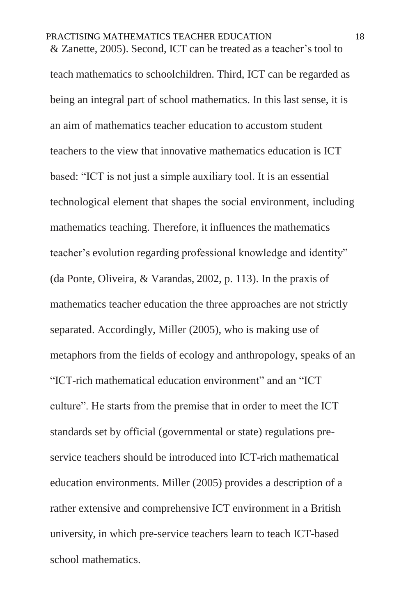& Zanette, 2005). Second, ICT can be treated as a teacher's tool to teach mathematics to schoolchildren. Third, ICT can be regarded as being an integral part of school mathematics. In this last sense, it is an aim of mathematics teacher education to accustom student teachers to the view that innovative mathematics education is ICT based: "ICT is not just a simple auxiliary tool. It is an essential technological element that shapes the social environment, including mathematics teaching. Therefore, it influences the mathematics teacher's evolution regarding professional knowledge and identity" (da Ponte, Oliveira, & Varandas, 2002, p. 113). In the praxis of mathematics teacher education the three approaches are not strictly separated. Accordingly, Miller (2005), who is making use of metaphors from the fields of ecology and anthropology, speaks of an "ICT-rich mathematical education environment" and an "ICT culture". He starts from the premise that in order to meet the ICT standards set by official (governmental or state) regulations preservice teachers should be introduced into ICT-rich mathematical education environments. Miller (2005) provides a description of a rather extensive and comprehensive ICT environment in a British university, in which pre-service teachers learn to teach ICT-based school mathematics.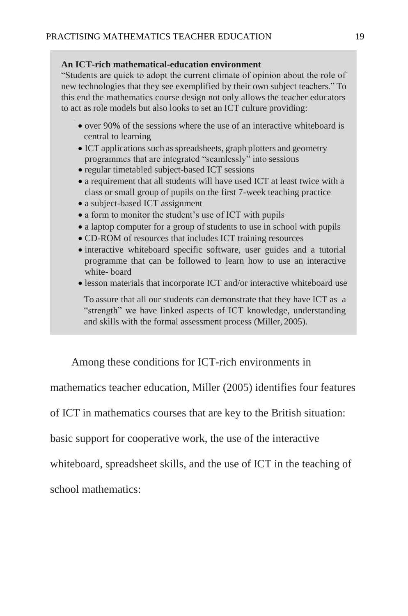#### **An ICT-rich mathematical-education environment**

"Students are quick to adopt the current climate of opinion about the role of new technologies that they see exemplified by their own subject teachers." To this end the mathematics course design not only allows the teacher educators to act as role models but also looks to set an ICT culture providing:

- over 90% of the sessions where the use of an interactive whiteboard is central to learning
- ICT applications such as spreadsheets, graph plotters and geometry programmes that are integrated "seamlessly" into sessions
- regular timetabled subject-based ICT sessions
- a requirement that all students will have used ICT at least twice with a class or small group of pupils on the first 7-week teaching practice
- a subject-based ICT assignment
- a form to monitor the student's use of ICT with pupils
- a laptop computer for a group of students to use in school with pupils<br>
CD POM of resources that includes ICT training resources
- CD-ROM of resources that includes ICT training resources
- CD-ROM of resources that includes ic 1 training resources<br>• interactive whiteboard specific software, user guides and a tutorial programme that can be followed to learn how to use an interactive white- board
- lesson materials that incorporate ICT and/or interactive whiteboard use

To assure that all our students can demonstrate that they have ICT as a "strength" we have linked aspects of ICT knowledge, understanding and skills with the formal assessment process (Miller, 2005).

Among these conditions for ICT-rich environments in

mathematics teacher education, Miller (2005) identifies four features

of ICT in mathematics courses that are key to the British situation:

basic support for cooperative work, the use of the interactive

whiteboard, spreadsheet skills, and the use of ICT in the teaching of

school mathematics: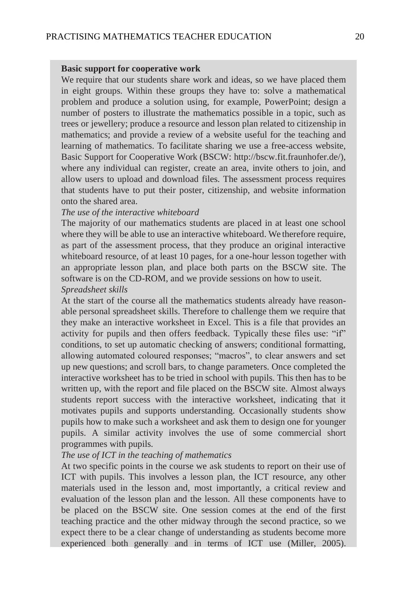#### **Basic support for cooperative work**

We require that our students share work and ideas, so we have placed them in eight groups. Within these groups they have to: solve a mathematical problem and produce a solution using, for example, PowerPoint; design a number of posters to illustrate the mathematics possible in a topic, such as trees or jewellery; produce a resource and lesson plan related to citizenship in mathematics; and provide a review of a website useful for the teaching and learning of mathematics. To facilitate sharing we use a free-access website, Basic Support for Cooperative Work (BSCW: [http://bscw.fit.fraunhofer.de/\),](http://bscw.fit.fraunhofer.de/)) where any individual can register, create an area, invite others to join, and allow users to upload and download files. The assessment process requires that students have to put their poster, citizenship, and website information onto the shared area.

#### *The use of the interactive whiteboard*

The majority of our mathematics students are placed in at least one school where they will be able to use an interactive whiteboard. We therefore require, as part of the assessment process, that they produce an original interactive whiteboard resource, of at least 10 pages, for a one-hour lesson together with an appropriate lesson plan, and place both parts on the BSCW site. The software is on the CD-ROM, and we provide sessions on how to useit. *Spreadsheet skills*

At the start of the course all the mathematics students already have reasonable personal spreadsheet skills. Therefore to challenge them we require that they make an interactive worksheet in Excel. This is a file that provides an activity for pupils and then offers feedback. Typically these files use: "if" conditions, to set up automatic checking of answers; conditional formatting, allowing automated coloured responses; "macros", to clear answers and set up new questions; and scroll bars, to change parameters. Once completed the interactive worksheet has to be tried in school with pupils. This then has to be written up, with the report and file placed on the BSCW site. Almost always students report success with the interactive worksheet, indicating that it motivates pupils and supports understanding. Occasionally students show pupils how to make such a worksheet and ask them to design one for younger pupils. A similar activity involves the use of some commercial short programmes with pupils.

#### *The use of ICT in the teaching of mathematics*

At two specific points in the course we ask students to report on their use of ICT with pupils. This involves a lesson plan, the ICT resource, any other materials used in the lesson and, most importantly, a critical review and evaluation of the lesson plan and the lesson. All these components have to be placed on the BSCW site. One session comes at the end of the first teaching practice and the other midway through the second practice, so we expect there to be a clear change of understanding as students become more experienced both generally and in terms of ICT use (Miller, 2005).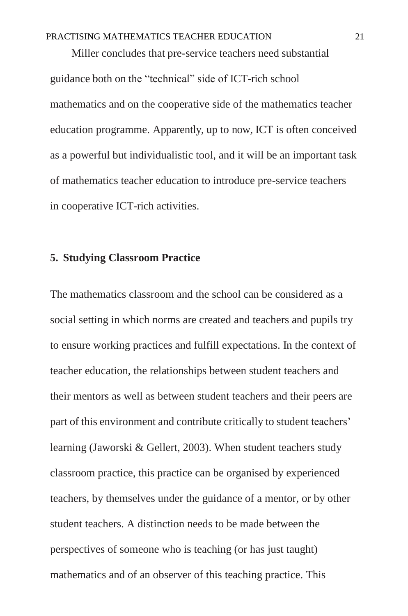Miller concludes that pre-service teachers need substantial guidance both on the "technical" side of ICT-rich school mathematics and on the cooperative side of the mathematics teacher education programme. Apparently, up to now, ICT is often conceived as a powerful but individualistic tool, and it will be an important task of mathematics teacher education to introduce pre-service teachers in cooperative ICT-rich activities.

## **5. Studying Classroom Practice**

The mathematics classroom and the school can be considered as a social setting in which norms are created and teachers and pupils try to ensure working practices and fulfill expectations. In the context of teacher education, the relationships between student teachers and their mentors as well as between student teachers and their peers are part of this environment and contribute critically to student teachers' learning (Jaworski & Gellert, 2003). When student teachers study classroom practice, this practice can be organised by experienced teachers, by themselves under the guidance of a mentor, or by other student teachers. A distinction needs to be made between the perspectives of someone who is teaching (or has just taught) mathematics and of an observer of this teaching practice. This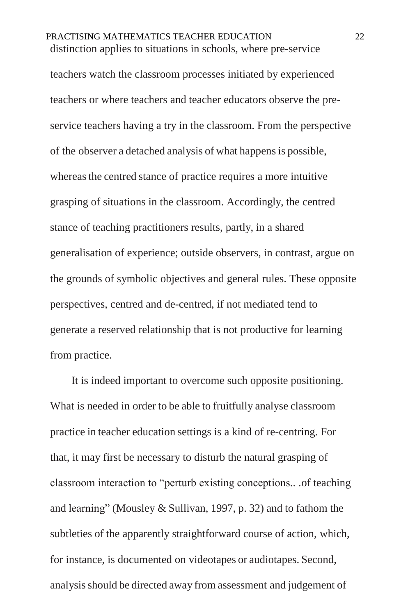distinction applies to situations in schools, where pre-service teachers watch the classroom processes initiated by experienced teachers or where teachers and teacher educators observe the preservice teachers having a try in the classroom. From the perspective of the observer a detached analysis of what happensis possible, whereas the centred stance of practice requires a more intuitive grasping of situations in the classroom. Accordingly, the centred stance of teaching practitioners results, partly, in a shared generalisation of experience; outside observers, in contrast, argue on the grounds of symbolic objectives and general rules. These opposite perspectives, centred and de-centred, if not mediated tend to generate a reserved relationship that is not productive for learning from practice.

It is indeed important to overcome such opposite positioning. What is needed in order to be able to fruitfully analyse classroom practice in teacher education settings is a kind of re-centring. For that, it may first be necessary to disturb the natural grasping of classroom interaction to "perturb existing conceptions*.. .*of teaching and learning" (Mousley & Sullivan, 1997, p. 32) and to fathom the subtleties of the apparently straightforward course of action, which, for instance, is documented on videotapes or audiotapes. Second, analysisshould be directed away from assessment and judgement of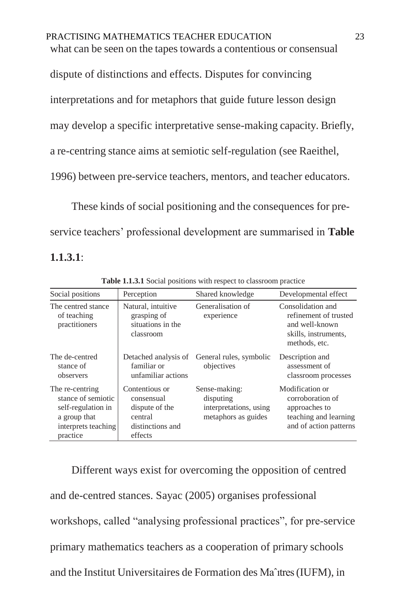PRACTISING MATHEMATICS TEACHER EDUCATION 23 what can be seen on the tapes towards a contentious or consensual dispute of distinctions and effects. Disputes for convincing interpretations and for metaphors that guide future lesson design may develop a specific interpretative sense-making capacity. Briefly, a re-centring stance aims at semiotic self-regulation (see Raeithel, 1996) between pre-service teachers, mentors, and teacher educators.

These kinds of social positioning and the consequences for preservice teachers' professional development are summarised in **Table 1.1.3.1**:

| Social positions                                                                                               | Perception                                                                               | Shared knowledge                                                            | Developmental effect                                                                                    |
|----------------------------------------------------------------------------------------------------------------|------------------------------------------------------------------------------------------|-----------------------------------------------------------------------------|---------------------------------------------------------------------------------------------------------|
| The centred stance<br>of teaching<br>practitioners                                                             | Natural, intuitive<br>grasping of<br>situations in the<br>classroom                      | Generalisation of<br>experience                                             | Consolidation and<br>refinement of trusted<br>and well-known<br>skills, instruments,<br>methods, etc.   |
| The de-centred<br>stance of<br>observers                                                                       | familiar or<br>unfamiliar actions                                                        | Detached analysis of General rules, symbolic<br>objectives                  | Description and<br>assessment of<br>classroom processes                                                 |
| The re-centring<br>stance of semiotic<br>self-regulation in<br>a group that<br>interprets teaching<br>practice | Contentious or<br>consensual<br>dispute of the<br>central<br>distinctions and<br>effects | Sense-making:<br>disputing<br>interpretations, using<br>metaphors as guides | Modification or<br>corroboration of<br>approaches to<br>teaching and learning<br>and of action patterns |

**Table 1.1.3.1** Social positions with respect to classroom practice

Different ways exist for overcoming the opposition of centred and de-centred stances. Sayac (2005) organises professional workshops, called "analysing professional practices", for pre-service primary mathematics teachers as a cooperation of primary schools and the Institut Universitaires de Formation des Maˆıtres(IUFM), in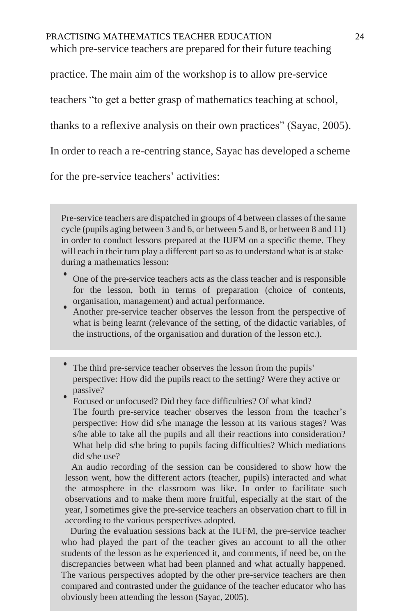which pre-service teachers are prepared for their future teaching

practice. The main aim of the workshop is to allow pre-service

teachers "to get a better grasp of mathematics teaching at school,

thanks to a reflexive analysis on their own practices" (Sayac, 2005).

In order to reach a re-centring stance, Sayac has developed a scheme

for the pre-service teachers' activities:

during a mathematics lesson: Pre-service teachers are dispatched in groups of 4 between classes of the same cycle (pupils aging between 3 and 6, or between 5 and 8, or between 8 and 11) in order to conduct lessons prepared at the IUFM on a specific theme. They will each in their turn play a different part so as to understand what is at stake

- One of the pre-service teachers acts as the class teacher and is responsible for the lesson, both in terms of preparation (choice of contents, organisation, management) and actual performance. •
- Another pre-service teacher observes the lesson from the perspective of what is being learnt (relevance of the setting, of the didactic variables, of the instructions, of the organisation and duration of the lesson etc.). •
- The third pre-service teacher observes the lesson from the pupils' perspective: How did the pupils react to the setting? Were they active or passive? •
- Focused or unfocused? Did they face difficulties? Of what kind? The fourth pre-service teacher observes the lesson from the teacher's perspective: How did s/he manage the lesson at its various stages? Was s/he able to take all the pupils and all their reactions into consideration? What help did s/he bring to pupils facing difficulties? Which mediations did s/he use? •

An audio recording of the session can be considered to show how the lesson went, how the different actors (teacher, pupils) interacted and what the atmosphere in the classroom was like. In order to facilitate such observations and to make them more fruitful, especially at the start of the year, I sometimes give the pre-service teachers an observation chart to fill in according to the various perspectives adopted.

During the evaluation sessions back at the IUFM, the pre-service teacher who had played the part of the teacher gives an account to all the other students of the lesson as he experienced it, and comments, if need be, on the discrepancies between what had been planned and what actually happened. The various perspectives adopted by the other pre-service teachers are then compared and contrasted under the guidance of the teacher educator who has obviously been attending the lesson (Sayac, 2005).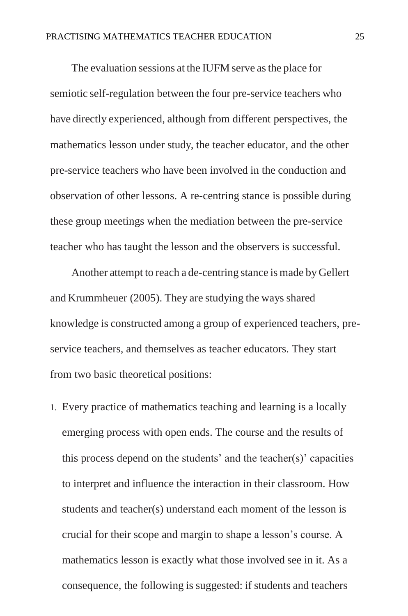The evaluation sessions at the IUFM serve asthe place for semiotic self-regulation between the four pre-service teachers who have directly experienced, although from different perspectives, the mathematics lesson under study, the teacher educator, and the other pre-service teachers who have been involved in the conduction and observation of other lessons. A re-centring stance is possible during these group meetings when the mediation between the pre-service teacher who has taught the lesson and the observers is successful.

Another attempt to reach a de-centring stance is made by Gellert and Krummheuer (2005). They are studying the ways shared knowledge is constructed among a group of experienced teachers, preservice teachers, and themselves as teacher educators. They start from two basic theoretical positions:

1. Every practice of mathematics teaching and learning is a locally emerging process with open ends. The course and the results of this process depend on the students' and the teacher(s)' capacities to interpret and influence the interaction in their classroom. How students and teacher(s) understand each moment of the lesson is crucial for their scope and margin to shape a lesson's course. A mathematics lesson is exactly what those involved see in it. As a consequence, the following is suggested: if students and teachers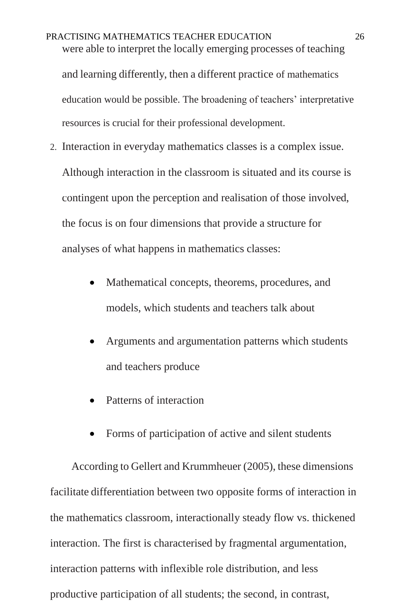## PRACTISING MATHEMATICS TEACHER EDUCATION 26 were able to interpret the locally emerging processes of teaching and learning differently, then a different practice of mathematics education would be possible. The broadening of teachers' interpretative resources is crucial for their professional development.

- contingent upon the perception and realisation of those involved, 2. Interaction in everyday mathematics classes is a complex issue. Although interaction in the classroom is situated and its course is the focus is on four dimensions that provide a structure for analyses of what happens in mathematics classes:
	- Mathematical concepts, theorems, procedures, and models, which students and teachers talk about
	- Arguments and argumentation patterns which students and teachers produce
	- Patterns of interaction
	- Forms of participation of active and silent students

According to Gellert and Krummheuer (2005), these dimensions facilitate differentiation between two opposite forms of interaction in the mathematics classroom, interactionally steady flow vs. thickened interaction. The first is characterised by fragmental argumentation, interaction patterns with inflexible role distribution, and less productive participation of all students; the second, in contrast,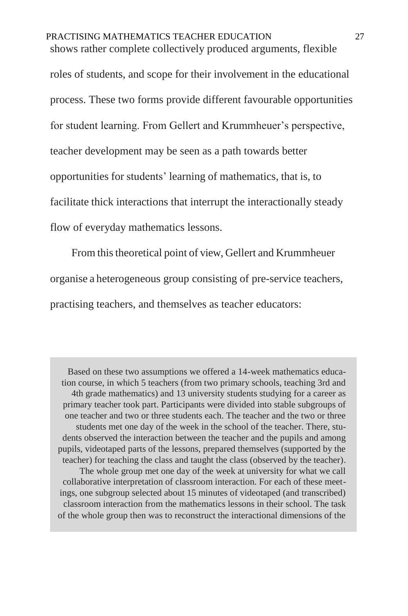shows rather complete collectively produced arguments, flexible roles of students, and scope for their involvement in the educational process. These two forms provide different favourable opportunities for student learning. From Gellert and Krummheuer's perspective, teacher development may be seen as a path towards better opportunities for students' learning of mathematics, that is, to facilitate thick interactions that interrupt the interactionally steady flow of everyday mathematics lessons.

From this theoretical point of view, Gellert and Krummheuer organise a heterogeneous group consisting of pre-service teachers, practising teachers, and themselves as teacher educators:

Based on these two assumptions we offered a 14-week mathematics education course, in which 5 teachers (from two primary schools, teaching 3rd and 4th grade mathematics) and 13 university students studying for a career as primary teacher took part. Participants were divided into stable subgroups of one teacher and two or three students each. The teacher and the two or three students met one day of the week in the school of the teacher. There, students observed the interaction between the teacher and the pupils and among pupils, videotaped parts of the lessons, prepared themselves (supported by the teacher) for teaching the class and taught the class (observed by the teacher). The whole group met one day of the week at university for what we call

collaborative interpretation of classroom interaction. For each of these meetings, one subgroup selected about 15 minutes of videotaped (and transcribed) classroom interaction from the mathematics lessons in their school. The task of the whole group then was to reconstruct the interactional dimensions of the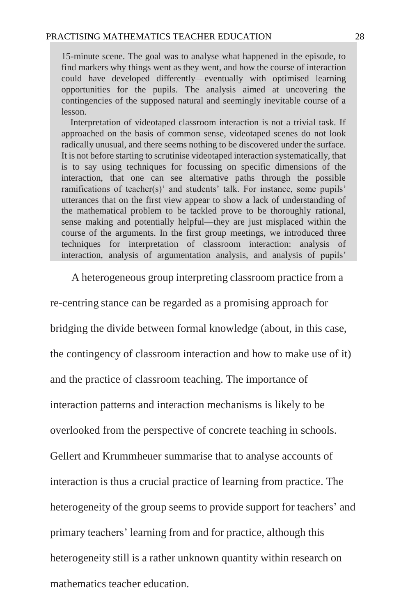15-minute scene. The goal was to analyse what happened in the episode, to find markers why things went as they went, and how the course of interaction could have developed differently—eventually with optimised learning opportunities for the pupils. The analysis aimed at uncovering the contingencies of the supposed natural and seemingly inevitable course of a lesson.

Interpretation of videotaped classroom interaction is not a trivial task. If approached on the basis of common sense, videotaped scenes do not look radically unusual, and there seems nothing to be discovered under the surface. It is not before starting to scrutinise videotaped interaction systematically, that is to say using techniques for focussing on specific dimensions of the interaction, that one can see alternative paths through the possible ramifications of teacher(s)' and students' talk. For instance, some pupils' utterances that on the first view appear to show a lack of understanding of the mathematical problem to be tackled prove to be thoroughly rational, sense making and potentially helpful—they are just misplaced within the course of the arguments. In the first group meetings, we introduced three techniques for interpretation of classroom interaction: analysis of interaction, analysis of argumentation analysis, and analysis of pupils'

A heterogeneous group interpreting classroom practice from a

re-centring stance can be regarded as a promising approach for bridging the divide between formal knowledge (about, in this case, the contingency of classroom interaction and how to make use of it) and the practice of classroom teaching. The importance of interaction patterns and interaction mechanisms is likely to be overlooked from the perspective of concrete teaching in schools. Gellert and Krummheuer summarise that to analyse accounts of interaction is thus a crucial practice of learning from practice. The heterogeneity of the group seems to provide support for teachers' and primary teachers' learning from and for practice, although this heterogeneity still is a rather unknown quantity within research on mathematics teacher education.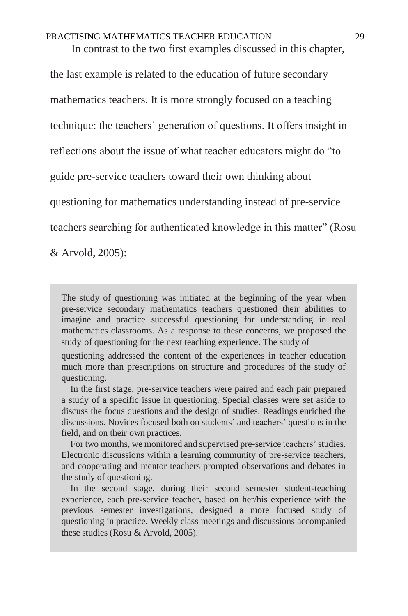In contrast to the two first examples discussed in this chapter, the last example is related to the education of future secondary mathematics teachers. It is more strongly focused on a teaching technique: the teachers' generation of questions. It offers insight in reflections about the issue of what teacher educators might do "to guide pre-service teachers toward their own thinking about questioning for mathematics understanding instead of pre-service teachers searching for authenticated knowledge in this matter" (Rosu & Arvold, 2005):

questioning addressed the content of the experiences in teacher education much more than prescriptions on structure and procedures of the study of The study of questioning was initiated at the beginning of the year when pre-service secondary mathematics teachers questioned their abilities to imagine and practice successful questioning for understanding in real mathematics classrooms. As a response to these concerns, we proposed the study of questioning for the next teaching experience. The study of

questioning.

In the first stage, pre-service teachers were paired and each pair prepared a study of a specific issue in questioning. Special classes were set aside to discuss the focus questions and the design of studies. Readings enriched the discussions. Novices focused both on students' and teachers' questions in the field, and on their own practices.

For two months, we monitored and supervised pre-service teachers' studies. Electronic discussions within a learning community of pre-service teachers, and cooperating and mentor teachers prompted observations and debates in the study of questioning.

In the second stage, during their second semester student-teaching experience, each pre-service teacher, based on her/his experience with the previous semester investigations, designed a more focused study of questioning in practice. Weekly class meetings and discussions accompanied these studies(Rosu & Arvold, 2005).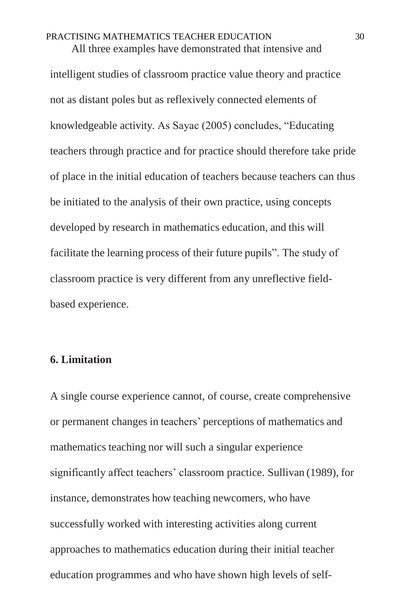All three examples have demonstrated that intensive and intelligent studies of classroom practice value theory and practice not as distant poles but as reflexively connected elements of knowledgeable activity. As Sayac (2005) concludes, "Educating teachers through practice and for practice should therefore take pride of place in the initial education of teachers because teachers can thus be initiated to the analysis of their own practice, using concepts developed by research in mathematics education, and this will facilitate the learning process of their future pupils". The study of classroom practice is very different from any unreflective fieldbased experience.

## **6. Limitation**

A single course experience cannot, of course, create comprehensive or permanent changes in teachers' perceptions of mathematics and mathematics teaching nor will such a singular experience significantly affect teachers' classroom practice. Sullivan (1989), for instance, demonstrates how teaching newcomers, who have successfully worked with interesting activities along current approaches to mathematics education during their initial teacher education programmes and who have shown high levels of self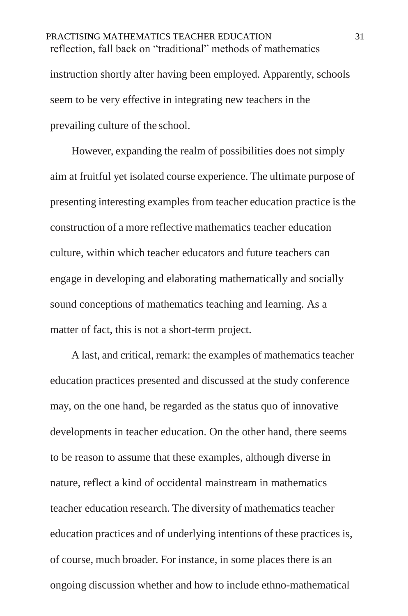PRACTISING MATHEMATICS TEACHER EDUCATION 31 reflection, fall back on "traditional" methods of mathematics instruction shortly after having been employed. Apparently, schools seem to be very effective in integrating new teachers in the prevailing culture of the school.

However, expanding the realm of possibilities does not simply aim at fruitful yet isolated course experience. The ultimate purpose of presenting interesting examples from teacher education practice is the construction of a more reflective mathematics teacher education culture, within which teacher educators and future teachers can engage in developing and elaborating mathematically and socially sound conceptions of mathematics teaching and learning. As a matter of fact, this is not a short-term project.

A last, and critical, remark: the examples of mathematics teacher education practices presented and discussed at the study conference may, on the one hand, be regarded as the status quo of innovative developments in teacher education. On the other hand, there seems to be reason to assume that these examples, although diverse in nature, reflect a kind of occidental mainstream in mathematics teacher education research. The diversity of mathematics teacher education practices and of underlying intentions of these practices is, of course, much broader. For instance, in some places there is an ongoing discussion whether and how to include ethno-mathematical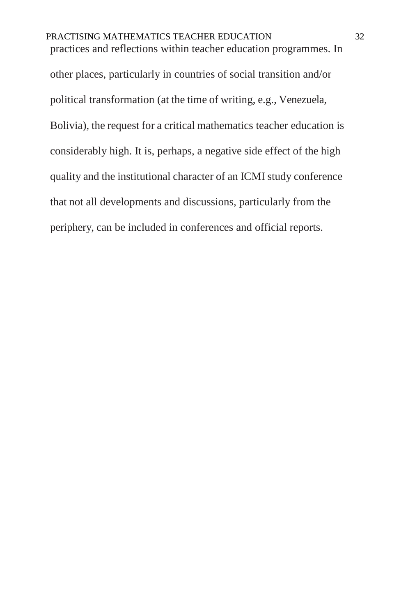PRACTISING MATHEMATICS TEACHER EDUCATION 32 practices and reflections within teacher education programmes. In other places, particularly in countries of social transition and/or political transformation (at the time of writing, e.g., Venezuela, Bolivia), the request for a critical mathematics teacher education is considerably high. It is, perhaps, a negative side effect of the high quality and the institutional character of an ICMI study conference that not all developments and discussions, particularly from the periphery, can be included in conferences and official reports.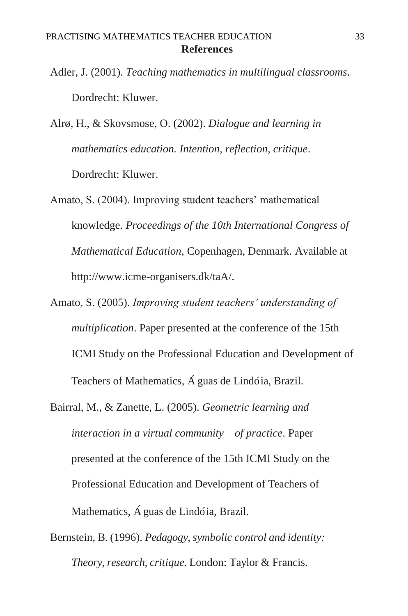- Adler, J. (2001). *Teaching mathematics in multilingual classrooms*. Dordrecht: Kluwer.
- Alrø, H., & Skovsmose, O. (2002). *Dialogue and learning in mathematics education. Intention, reflection, critique*. Dordrecht: Kluwer.
- Amato, S. (2004). Improving student teachers' mathematical knowledge. *Proceedings of the 10th International Congress of Mathematical Education*, Copenhagen, Denmark. Available at [http://www.icme-organisers.dk/taA/.](http://www.icme-organisers.dk/taA/)
- Amato, S. (2005). *Improving student teachers' understanding of multiplication*. Paper presented at the conference of the 15th ICMI Study on the Professional Education and Development of Teachers of Mathematics, A<sup></sup> guas de Lindo<sup>i</sup>ia, Brazil.
- Bairral, M., & Zanette, L. (2005). *Geometric learning and interaction in a virtual community of practice*. Paper presented at the conference of the 15th ICMI Study on the Professional Education and Development of Teachers of Mathematics, Á guas de Lindóia, Brazil.
- Bernstein, B. (1996). *Pedagogy, symbolic control and identity: Theory, research, critique.* London: Taylor & Francis.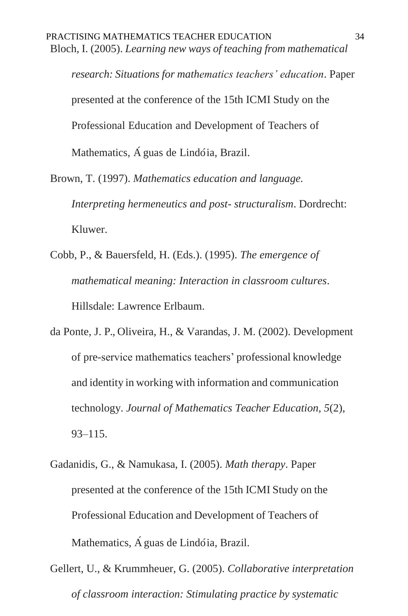presented at the conference of the 15th ICMI Study on the

Professional Education and Development of Teachers of

Mathematics, Á guas de Lindóia, Brazil.

- Brown, T. (1997). *Mathematics education and language. Interpreting hermeneutics and post- structuralism*. Dordrecht: Kluwer.
- Cobb, P., & Bauersfeld, H. (Eds.). (1995). *The emergence of mathematical meaning: Interaction in classroom cultures*. Hillsdale: Lawrence Erlbaum.
- da Ponte, J. P., Oliveira, H., & Varandas, J. M. (2002). Development of pre-service mathematics teachers' professional knowledge and identity in working with information and communication technology. *Journal of Mathematics Teacher Education, 5*(2), 93–115.
- Gadanidis, G., & Namukasa, I. (2005). *Math therapy*. Paper presented at the conference of the 15th ICMI Study on the Professional Education and Development of Teachers of Mathematics, Á guas de Lindóia, Brazil.
- Gellert, U., & Krummheuer, G. (2005). *Collaborative interpretation of classroom interaction: Stimulating practice by systematic*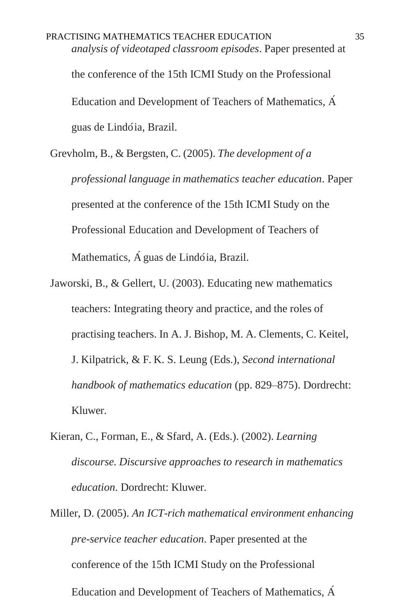PRACTISING MATHEMATICS TEACHER EDUCATION 35 *analysis of videotaped classroom episodes*. Paper presented at the conference of the 15th ICMI Study on the Professional Education and Development of Teachers of Mathematics, A´ guas de Lindo´ia, Brazil.

Grevholm, B., & Bergsten, C. (2005). *The development of a professional language in mathematics teacher education*. Paper presented at the conference of the 15th ICMI Study on the Professional Education and Development of Teachers of Mathematics, Á guas de Lindóia, Brazil.

- Jaworski, B., & Gellert, U. (2003). Educating new mathematics teachers: Integrating theory and practice, and the roles of practising teachers. In A. J. Bishop, M. A. Clements, C. Keitel, J. Kilpatrick, & F. K. S. Leung (Eds.), *Second international handbook of mathematics education* (pp. 829–875). Dordrecht: Kluwer.
- Kieran, C., Forman, E., & Sfard, A. (Eds.). (2002). *Learning discourse. Discursive approaches to research in mathematics education*. Dordrecht: Kluwer.

Miller, D. (2005). *An ICT-rich mathematical environment enhancing pre-service teacher education*. Paper presented at the conference of the 15th ICMI Study on the Professional Education and Development of Teachers of Mathematics, A´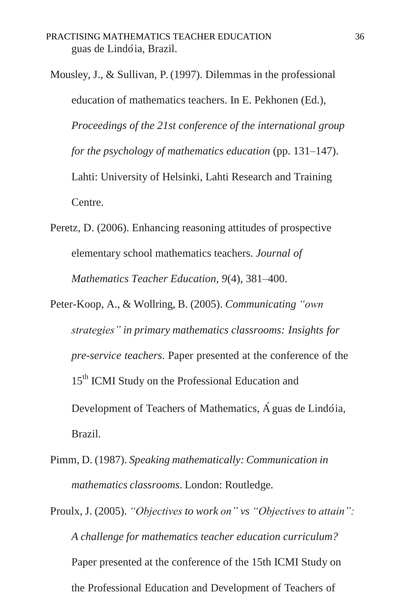PRACTISING MATHEMATICS TEACHER EDUCATION 36 guas de Lindo´ia, Brazil.

Mousley, J., & Sullivan, P. (1997). Dilemmas in the professional education of mathematics teachers. In E. Pekhonen (Ed.), *Proceedings of the 21st conference of the international group for the psychology of mathematics education (pp. 131–147).* Lahti: University of Helsinki, Lahti Research and Training Centre.

- Peretz, D. (2006). Enhancing reasoning attitudes of prospective elementary school mathematics teachers. *Journal of Mathematics Teacher Education, 9*(4), 381–400.
- Peter-Koop, A., & Wollring, B. (2005). *Communicating "own strategies" in primary mathematics classrooms: Insights for pre-service teachers*. Paper presented at the conference of the 15<sup>th</sup> ICMI Study on the Professional Education and Development of Teachers of Mathematics, A<sup></sup> guas de Lindóia, Brazil.
- Pimm, D. (1987). *Speaking mathematically: Communication in mathematics classrooms*. London: Routledge.

Proulx, J. (2005). *"Objectives to work on" vs "Objectives to attain": A challenge for mathematics teacher education curriculum?*  Paper presented at the conference of the 15th ICMI Study on the Professional Education and Development of Teachers of